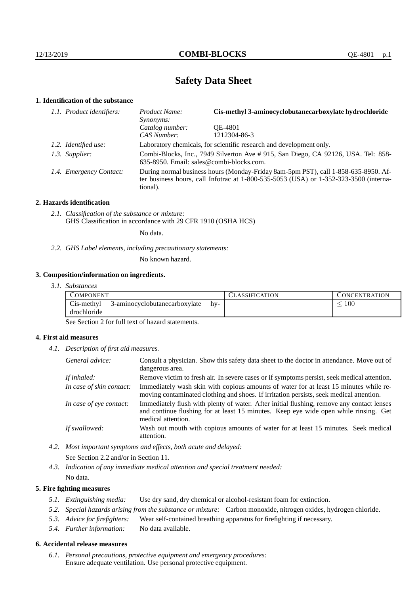# **Safety Data Sheet**

### **1. Identification of the substance**

| 1.1. Product identifiers: | Product Name:<br>Synonyms:                                                                                                                                                              | Cis-methyl 3-aminocyclobutanecarboxylate hydrochloride |  |  |
|---------------------------|-----------------------------------------------------------------------------------------------------------------------------------------------------------------------------------------|--------------------------------------------------------|--|--|
|                           | Catalog number:                                                                                                                                                                         | OE-4801                                                |  |  |
|                           | CAS Number:                                                                                                                                                                             | 1212304-86-3                                           |  |  |
| 1.2. Identified use:      | Laboratory chemicals, for scientific research and development only.                                                                                                                     |                                                        |  |  |
| 1.3. Supplier:            | Combi-Blocks, Inc., 7949 Silverton Ave #915, San Diego, CA 92126, USA. Tel: 858-<br>635-8950. Email: sales@combi-blocks.com.                                                            |                                                        |  |  |
| 1.4. Emergency Contact:   | During normal business hours (Monday-Friday 8am-5pm PST), call 1-858-635-8950. Af-<br>ter business hours, call Infotrac at 1-800-535-5053 (USA) or 1-352-323-3500 (interna-<br>tional). |                                                        |  |  |

#### **2. Hazards identification**

*2.1. Classification of the substance or mixture:* GHS Classification in accordance with 29 CFR 1910 (OSHA HCS)

No data.

*2.2. GHS Label elements, including precautionary statements:*

No known hazard.

### **3. Composition/information on ingredients.**

*3.1. Substances*

| COMPONENT                 |                               |     | <b>LASSIFICATION</b> | CONCENTRATION |
|---------------------------|-------------------------------|-----|----------------------|---------------|
| Cis-methyl<br>drochloride | 3-aminocyclobutanecarboxylate | hv- |                      | 100           |

See Section 2 for full text of hazard statements.

### **4. First aid measures**

*4.1. Description of first aid measures.*

| General advice:          | Consult a physician. Show this safety data sheet to the doctor in attendance. Move out of<br>dangerous area.                                                                                            |
|--------------------------|---------------------------------------------------------------------------------------------------------------------------------------------------------------------------------------------------------|
| If inhaled:              | Remove victim to fresh air. In severe cases or if symptoms persist, seek medical attention.                                                                                                             |
| In case of skin contact: | Immediately wash skin with copious amounts of water for at least 15 minutes while re-<br>moving contaminated clothing and shoes. If irritation persists, seek medical attention.                        |
| In case of eye contact:  | Immediately flush with plenty of water. After initial flushing, remove any contact lenses<br>and continue flushing for at least 15 minutes. Keep eye wide open while rinsing. Get<br>medical attention. |
| If swallowed:            | Wash out mouth with copious amounts of water for at least 15 minutes. Seek medical<br>attention.                                                                                                        |

*4.2. Most important symptoms and effects, both acute and delayed:*

See Section 2.2 and/or in Section 11.

*4.3. Indication of any immediate medical attention and special treatment needed:*

No data.

### **5. Fire fighting measures**

- *5.1. Extinguishing media:* Use dry sand, dry chemical or alcohol-resistant foam for extinction.
- *5.2. Special hazards arising from the substance or mixture:* Carbon monoxide, nitrogen oxides, hydrogen chloride.
- *5.3. Advice for firefighters:* Wear self-contained breathing apparatus for firefighting if necessary.
- *5.4. Further information:* No data available.

### **6. Accidental release measures**

*6.1. Personal precautions, protective equipment and emergency procedures:* Ensure adequate ventilation. Use personal protective equipment.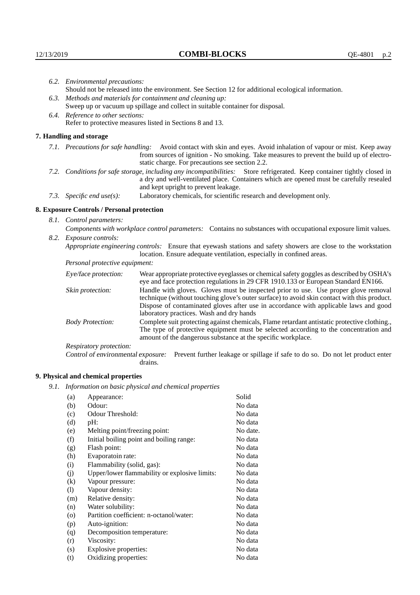| 6.2. Environmental precautions:                                                                                                                                                                                                                            |                                                                                                                                                                                                                                                                    |  |  |  |  |
|------------------------------------------------------------------------------------------------------------------------------------------------------------------------------------------------------------------------------------------------------------|--------------------------------------------------------------------------------------------------------------------------------------------------------------------------------------------------------------------------------------------------------------------|--|--|--|--|
| Should not be released into the environment. See Section 12 for additional ecological information.                                                                                                                                                         |                                                                                                                                                                                                                                                                    |  |  |  |  |
| 6.3. Methods and materials for containment and cleaning up:                                                                                                                                                                                                |                                                                                                                                                                                                                                                                    |  |  |  |  |
| Sweep up or vacuum up spillage and collect in suitable container for disposal.                                                                                                                                                                             |                                                                                                                                                                                                                                                                    |  |  |  |  |
| 6.4. Reference to other sections:                                                                                                                                                                                                                          |                                                                                                                                                                                                                                                                    |  |  |  |  |
|                                                                                                                                                                                                                                                            | Refer to protective measures listed in Sections 8 and 13.                                                                                                                                                                                                          |  |  |  |  |
| 7. Handling and storage                                                                                                                                                                                                                                    |                                                                                                                                                                                                                                                                    |  |  |  |  |
|                                                                                                                                                                                                                                                            | 7.1. Precautions for safe handling: Avoid contact with skin and eyes. Avoid inhalation of vapour or mist. Keep away<br>from sources of ignition - No smoking. Take measures to prevent the build up of electro-<br>static charge. For precautions see section 2.2. |  |  |  |  |
| 7.2. Conditions for safe storage, including any incompatibilities: Store refrigerated. Keep container tightly closed in<br>a dry and well-ventilated place. Containers which are opened must be carefully resealed<br>and kept upright to prevent leakage. |                                                                                                                                                                                                                                                                    |  |  |  |  |
| 7.3. Specific end use(s):                                                                                                                                                                                                                                  | Laboratory chemicals, for scientific research and development only.                                                                                                                                                                                                |  |  |  |  |
| 8. Exposure Controls / Personal protection                                                                                                                                                                                                                 |                                                                                                                                                                                                                                                                    |  |  |  |  |
| 8.1. Control parameters:                                                                                                                                                                                                                                   |                                                                                                                                                                                                                                                                    |  |  |  |  |
| Components with workplace control parameters: Contains no substances with occupational exposure limit values.                                                                                                                                              |                                                                                                                                                                                                                                                                    |  |  |  |  |
| 8.2. Exposure controls:                                                                                                                                                                                                                                    |                                                                                                                                                                                                                                                                    |  |  |  |  |
| Appropriate engineering controls: Ensure that eyewash stations and safety showers are close to the workstation<br>location. Ensure adequate ventilation, especially in confined areas.                                                                     |                                                                                                                                                                                                                                                                    |  |  |  |  |
| Personal protective equipment:                                                                                                                                                                                                                             |                                                                                                                                                                                                                                                                    |  |  |  |  |
| Eye/face protection:                                                                                                                                                                                                                                       | Wear appropriate protective eyeglasses or chemical safety goggles as described by OSHA's<br>eye and face protection regulations in 29 CFR 1910.133 or European Standard EN166.                                                                                     |  |  |  |  |
| Skin protection:                                                                                                                                                                                                                                           | Handle with gloves. Gloves must be inspected prior to use. Use proper glove removal<br>technique (without touching glove's outer surface) to avoid skin contact with this product                                                                                  |  |  |  |  |

### **8. Exposure Controls / Personal protection**

| Eye/face protection:               | Wear appropriate protective eyeglasses or chemical safety goggles as described by OSHA's<br>eye and face protection regulations in 29 CFR 1910.133 or European Standard EN166.                                                                                                                                         |  |  |
|------------------------------------|------------------------------------------------------------------------------------------------------------------------------------------------------------------------------------------------------------------------------------------------------------------------------------------------------------------------|--|--|
| Skin protection:                   | Handle with gloves. Gloves must be inspected prior to use. Use proper glove removal<br>technique (without touching glove's outer surface) to avoid skin contact with this product.<br>Dispose of contaminated gloves after use in accordance with applicable laws and good<br>laboratory practices. Wash and dry hands |  |  |
| <b>Body Protection:</b>            | Complete suit protecting against chemicals, Flame retardant antistatic protective clothing.<br>The type of protective equipment must be selected according to the concentration and<br>amount of the dangerous substance at the specific workplace.                                                                    |  |  |
| Respiratory protection:            |                                                                                                                                                                                                                                                                                                                        |  |  |
| Control of environmental exposure: | Prevent further leakage or spillage if safe to do so. Do not let product enter<br>drains.                                                                                                                                                                                                                              |  |  |

## **9. Physical and chemical properties**

*9.1. Information on basic physical and chemical properties*

| Appearance:                                   | Solid    |
|-----------------------------------------------|----------|
| Odour:                                        | No data  |
| Odour Threshold:                              | No data  |
| pH:                                           | No data  |
| Melting point/freezing point:                 | No date. |
| Initial boiling point and boiling range:      | No data  |
| Flash point:                                  | No data  |
| Evaporatoin rate:                             | No data  |
| Flammability (solid, gas):                    | No data  |
| Upper/lower flammability or explosive limits: | No data  |
| Vapour pressure:                              | No data  |
| Vapour density:                               | No data  |
| Relative density:                             | No data  |
| Water solubility:                             | No data  |
| Partition coefficient: n-octanol/water:       | No data  |
| Auto-ignition:                                | No data  |
| Decomposition temperature:                    | No data  |
| Viscosity:                                    | No data  |
| Explosive properties:                         | No data  |
| Oxidizing properties:                         | No data  |
|                                               |          |